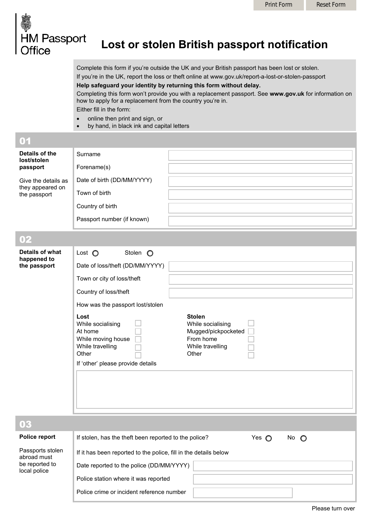

## **Lost or stolen British passport notification**

Complete this form if you're outside the UK and your British passport has been lost or stolen. If you're in the UK, report the loss or theft online at [www.gov.uk/report-a-lost-or-stolen-passport](http://www.gov.uk/report-a-lost-or-stolen-passport) **Help safeguard your identity by returning this form without delay.** 

Completing this form won't provide you with a replacement passport. See **[www.gov.uk](http://www.gov.uk/)** for information on how to apply for a replacement from the country you're in. Either fill in the form:

- online then print and sign, or
- by hand, in black ink and capital letters

| 01                                                      |                            |  |
|---------------------------------------------------------|----------------------------|--|
| Details of the<br>lost/stolen<br>passport               | <b>Surname</b>             |  |
|                                                         | Forename(s)                |  |
| Give the details as<br>they appeared on<br>the passport | Date of birth (DD/MM/YYYY) |  |
|                                                         | Town of birth              |  |
|                                                         | Country of birth           |  |
|                                                         | Passport number (if known) |  |

## 02

be reported to local police

| Details of what<br>happened to<br>the passport | Lost $\bigcirc$<br>Date of loss/theft (DD/MM/YYYY)<br>Town or city of loss/theft<br>Country of loss/theft<br>How was the passport lost/stolen<br>Lost<br>While socialising<br>At home<br>While moving house<br>While travelling<br>Other<br>If 'other' please provide details | Stolen $\bigcirc$ | <b>Stolen</b><br>While socialising<br>Mugged/pickpocketed<br>From home<br>While travelling<br>Other |                |               |  |
|------------------------------------------------|-------------------------------------------------------------------------------------------------------------------------------------------------------------------------------------------------------------------------------------------------------------------------------|-------------------|-----------------------------------------------------------------------------------------------------|----------------|---------------|--|
|                                                |                                                                                                                                                                                                                                                                               |                   |                                                                                                     |                |               |  |
| 03                                             |                                                                                                                                                                                                                                                                               |                   |                                                                                                     |                |               |  |
| Police report                                  | If stolen, has the theft been reported to the police?                                                                                                                                                                                                                         |                   |                                                                                                     | Yes $\bigcirc$ | No $\bigcirc$ |  |
| Passports stolen                               |                                                                                                                                                                                                                                                                               |                   | If it has hean reported to the police fill in the details helow                                     |                |               |  |

| Passports stolen | If it has been reported to the police, fill in the details below |
|------------------|------------------------------------------------------------------|
| abroad must      |                                                                  |

Date reported to the police (DD/MM/YYYY)

Police station where it was reported

Police crime or incident reference number